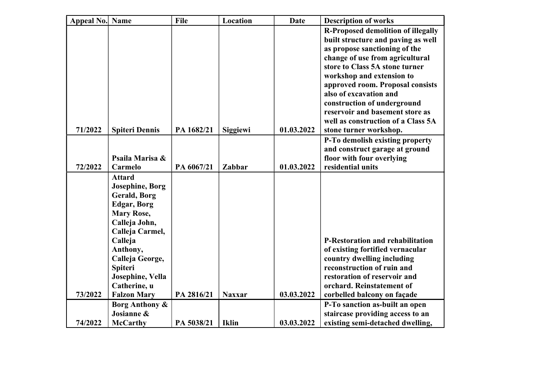| Appeal No. Name |                         | File       | Location        | <b>Date</b> | <b>Description of works</b>                                    |
|-----------------|-------------------------|------------|-----------------|-------------|----------------------------------------------------------------|
|                 |                         |            |                 |             | <b>R-Proposed demolition of illegally</b>                      |
|                 |                         |            |                 |             | built structure and paving as well                             |
|                 |                         |            |                 |             | as propose sanctioning of the                                  |
|                 |                         |            |                 |             | change of use from agricultural                                |
|                 |                         |            |                 |             | store to Class 5A stone turner                                 |
|                 |                         |            |                 |             | workshop and extension to                                      |
|                 |                         |            |                 |             | approved room. Proposal consists                               |
|                 |                         |            |                 |             | also of excavation and                                         |
|                 |                         |            |                 |             | construction of underground<br>reservoir and basement store as |
|                 |                         |            |                 |             | well as construction of a Class 5A                             |
| 71/2022         | <b>Spiteri Dennis</b>   | PA 1682/21 | <b>Siggiewi</b> | 01.03.2022  | stone turner workshop.                                         |
|                 |                         |            |                 |             | P-To demolish existing property                                |
|                 |                         |            |                 |             | and construct garage at ground                                 |
|                 | Psaila Marisa &         |            |                 |             | floor with four overlying                                      |
| 72/2022         | Carmelo                 | PA 6067/21 | Zabbar          | 01.03.2022  | residential units                                              |
|                 | <b>Attard</b>           |            |                 |             |                                                                |
|                 | <b>Josephine</b> , Borg |            |                 |             |                                                                |
|                 | <b>Gerald, Borg</b>     |            |                 |             |                                                                |
|                 | <b>Edgar, Borg</b>      |            |                 |             |                                                                |
|                 | <b>Mary Rose,</b>       |            |                 |             |                                                                |
|                 | Calleja John,           |            |                 |             |                                                                |
|                 | Calleja Carmel,         |            |                 |             |                                                                |
|                 | Calleja                 |            |                 |             | <b>P-Restoration and rehabilitation</b>                        |
|                 | Anthony,                |            |                 |             | of existing fortified vernacular                               |
|                 | Calleja George,         |            |                 |             | country dwelling including                                     |
|                 | <b>Spiteri</b>          |            |                 |             | reconstruction of ruin and                                     |
|                 | Josephine, Vella        |            |                 |             | restoration of reservoir and                                   |
|                 | Catherine, u            |            |                 |             | orchard. Reinstatement of                                      |
| 73/2022         | <b>Falzon Mary</b>      | PA 2816/21 | <b>Naxxar</b>   | 03.03.2022  | corbelled balcony on façade                                    |
|                 | Borg Anthony &          |            |                 |             | P-To sanction as-built an open                                 |
|                 | Josianne &              |            |                 |             | staircase providing access to an                               |
| 74/2022         | <b>McCarthy</b>         | PA 5038/21 | <b>Iklin</b>    | 03.03.2022  | existing semi-detached dwelling,                               |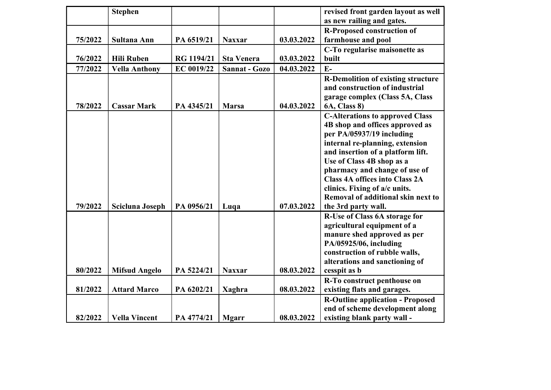|         | <b>Stephen</b>       |            |                      |            | revised front garden layout as well<br>as new railing and gates.                                                                                                                                                                                                                                                                                                                    |
|---------|----------------------|------------|----------------------|------------|-------------------------------------------------------------------------------------------------------------------------------------------------------------------------------------------------------------------------------------------------------------------------------------------------------------------------------------------------------------------------------------|
|         |                      |            |                      |            | <b>R-Proposed construction of</b>                                                                                                                                                                                                                                                                                                                                                   |
| 75/2022 | Sultana Ann          | PA 6519/21 | <b>Naxxar</b>        | 03.03.2022 | farmhouse and pool                                                                                                                                                                                                                                                                                                                                                                  |
|         |                      |            |                      |            | C-To regularise maisonette as                                                                                                                                                                                                                                                                                                                                                       |
| 76/2022 | <b>Hili Ruben</b>    | RG 1194/21 | <b>Sta Venera</b>    | 03.03.2022 | built                                                                                                                                                                                                                                                                                                                                                                               |
| 77/2022 | <b>Vella Anthony</b> | EC 0019/22 | <b>Sannat - Gozo</b> | 04.03.2022 | $E-$                                                                                                                                                                                                                                                                                                                                                                                |
| 78/2022 | <b>Cassar Mark</b>   | PA 4345/21 | <b>Marsa</b>         | 04.03.2022 | <b>R-Demolition of existing structure</b><br>and construction of industrial<br>garage complex (Class 5A, Class<br><b>6A, Class 8)</b>                                                                                                                                                                                                                                               |
| 79/2022 | Scicluna Joseph      | PA 0956/21 | Luqa                 | 07.03.2022 | <b>C-Alterations to approved Class</b><br>4B shop and offices approved as<br>per PA/05937/19 including<br>internal re-planning, extension<br>and insertion of a platform lift.<br>Use of Class 4B shop as a<br>pharmacy and change of use of<br><b>Class 4A offices into Class 2A</b><br>clinics. Fixing of a/c units.<br>Removal of additional skin next to<br>the 3rd party wall. |
| 80/2022 | <b>Mifsud Angelo</b> | PA 5224/21 | <b>Naxxar</b>        | 08.03.2022 | R-Use of Class 6A storage for<br>agricultural equipment of a<br>manure shed approved as per<br>PA/05925/06, including<br>construction of rubble walls,<br>alterations and sanctioning of<br>cesspit as b                                                                                                                                                                            |
|         |                      |            |                      |            | R-To construct penthouse on                                                                                                                                                                                                                                                                                                                                                         |
| 81/2022 | <b>Attard Marco</b>  | PA 6202/21 | <b>Xaghra</b>        | 08.03.2022 | existing flats and garages.                                                                                                                                                                                                                                                                                                                                                         |
| 82/2022 | <b>Vella Vincent</b> | PA 4774/21 | <b>Mgarr</b>         | 08.03.2022 | <b>R-Outline application - Proposed</b><br>end of scheme development along<br>existing blank party wall -                                                                                                                                                                                                                                                                           |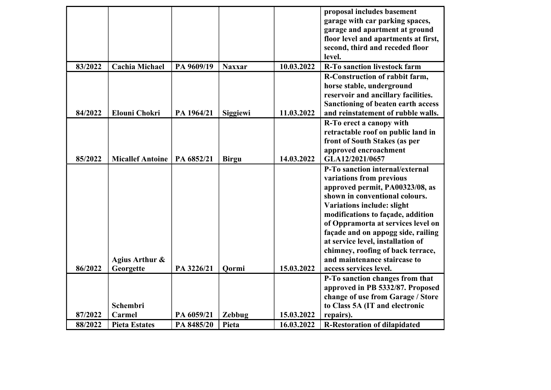|         |                         |            |                 |            | proposal includes basement           |
|---------|-------------------------|------------|-----------------|------------|--------------------------------------|
|         |                         |            |                 |            | garage with car parking spaces,      |
|         |                         |            |                 |            | garage and apartment at ground       |
|         |                         |            |                 |            | floor level and apartments at first, |
|         |                         |            |                 |            | second, third and receded floor      |
|         |                         |            |                 |            | level.                               |
| 83/2022 | <b>Cachia Michael</b>   | PA 9609/19 | <b>Naxxar</b>   | 10.03.2022 | <b>R-To sanction livestock farm</b>  |
|         |                         |            |                 |            | R-Construction of rabbit farm,       |
|         |                         |            |                 |            | horse stable, underground            |
|         |                         |            |                 |            | reservoir and ancillary facilities.  |
|         |                         |            |                 |            | Sanctioning of beaten earth access   |
| 84/2022 | <b>Elouni Chokri</b>    | PA 1964/21 | <b>Siggiewi</b> | 11.03.2022 | and reinstatement of rubble walls.   |
|         |                         |            |                 |            | R-To erect a canopy with             |
|         |                         |            |                 |            | retractable roof on public land in   |
|         |                         |            |                 |            | front of South Stakes (as per        |
|         |                         |            |                 |            | approved encroachment                |
| 85/2022 | <b>Micallef Antoine</b> | PA 6852/21 | <b>Birgu</b>    | 14.03.2022 | GLA12/2021/0657                      |
|         |                         |            |                 |            | P-To sanction internal/external      |
|         |                         |            |                 |            |                                      |
|         |                         |            |                 |            | variations from previous             |
|         |                         |            |                 |            | approved permit, PA00323/08, as      |
|         |                         |            |                 |            | shown in conventional colours.       |
|         |                         |            |                 |            | <b>Variations include: slight</b>    |
|         |                         |            |                 |            | modifications to façade, addition    |
|         |                         |            |                 |            | of Oppramorta at services level on   |
|         |                         |            |                 |            | façade and on appogg side, railing   |
|         |                         |            |                 |            | at service level, installation of    |
|         |                         |            |                 |            | chimney, roofing of back terrace,    |
|         | Agius Arthur &          |            |                 |            | and maintenance staircase to         |
| 86/2022 | Georgette               | PA 3226/21 | <b>Qormi</b>    | 15.03.2022 | access services level.               |
|         |                         |            |                 |            | P-To sanction changes from that      |
|         |                         |            |                 |            | approved in PB 5332/87. Proposed     |
|         |                         |            |                 |            | change of use from Garage / Store    |
|         | Schembri                |            |                 |            | to Class 5A (IT and electronic       |
| 87/2022 | Carmel                  | PA 6059/21 | Zebbug          | 15.03.2022 | repairs).                            |
| 88/2022 | <b>Pieta Estates</b>    | PA 8485/20 | Pieta           | 16.03.2022 | <b>R-Restoration of dilapidated</b>  |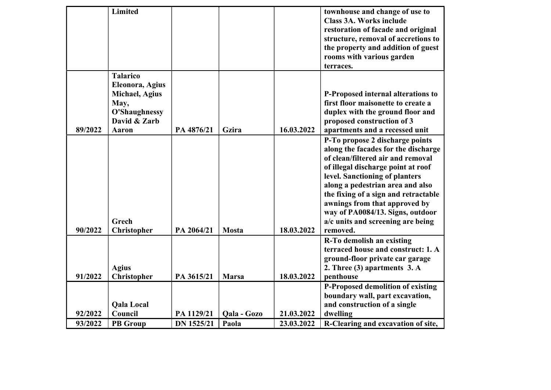|         | Limited                                                                               |                   |              |            | townhouse and change of use to<br><b>Class 3A. Works include</b><br>restoration of facade and original<br>structure, removal of accretions to<br>the property and addition of guest<br>rooms with various garden<br>terraces. |
|---------|---------------------------------------------------------------------------------------|-------------------|--------------|------------|-------------------------------------------------------------------------------------------------------------------------------------------------------------------------------------------------------------------------------|
|         | <b>Talarico</b><br>Eleonora, Agius<br><b>Michael</b> , Agius<br>May,<br>O'Shaughnessy |                   |              |            | P-Proposed internal alterations to<br>first floor maisonette to create a<br>duplex with the ground floor and                                                                                                                  |
|         | David & Zarb                                                                          |                   |              |            | proposed construction of 3                                                                                                                                                                                                    |
| 89/2022 | <b>Aaron</b>                                                                          | PA 4876/21        | Gzira        | 16.03.2022 | apartments and a recessed unit                                                                                                                                                                                                |
|         |                                                                                       |                   |              |            | P-To propose 2 discharge points<br>along the facades for the discharge                                                                                                                                                        |
|         |                                                                                       |                   |              |            | of clean/filtered air and removal                                                                                                                                                                                             |
|         |                                                                                       |                   |              |            | of illegal discharge point at roof                                                                                                                                                                                            |
|         |                                                                                       |                   |              |            | level. Sanctioning of planters                                                                                                                                                                                                |
|         |                                                                                       |                   |              |            | along a pedestrian area and also                                                                                                                                                                                              |
|         |                                                                                       |                   |              |            | the fixing of a sign and retractable                                                                                                                                                                                          |
|         |                                                                                       |                   |              |            | awnings from that approved by<br>way of PA0084/13. Signs, outdoor                                                                                                                                                             |
|         | Grech                                                                                 |                   |              |            | a/c units and screening are being                                                                                                                                                                                             |
| 90/2022 | <b>Christopher</b>                                                                    | PA 2064/21        | <b>Mosta</b> | 18.03.2022 | removed.                                                                                                                                                                                                                      |
|         |                                                                                       |                   |              |            | R-To demolish an existing                                                                                                                                                                                                     |
|         |                                                                                       |                   |              |            | terraced house and construct: 1. A                                                                                                                                                                                            |
|         |                                                                                       |                   |              |            | ground-floor private car garage                                                                                                                                                                                               |
|         | <b>Agius</b>                                                                          |                   |              |            | 2. Three (3) apartments 3. A                                                                                                                                                                                                  |
| 91/2022 | Christopher                                                                           | PA 3615/21        | <b>Marsa</b> | 18.03.2022 | penthouse                                                                                                                                                                                                                     |
|         |                                                                                       |                   |              |            | P-Proposed demolition of existing                                                                                                                                                                                             |
|         |                                                                                       |                   |              |            | boundary wall, part excavation,                                                                                                                                                                                               |
|         | <b>Qala Local</b>                                                                     |                   |              |            | and construction of a single                                                                                                                                                                                                  |
| 92/2022 | Council                                                                               | PA 1129/21        | Qala - Gozo  | 21.03.2022 | dwelling                                                                                                                                                                                                                      |
| 93/2022 | <b>PB</b> Group                                                                       | <b>DN 1525/21</b> | Paola        | 23.03.2022 | R-Clearing and excavation of site,                                                                                                                                                                                            |